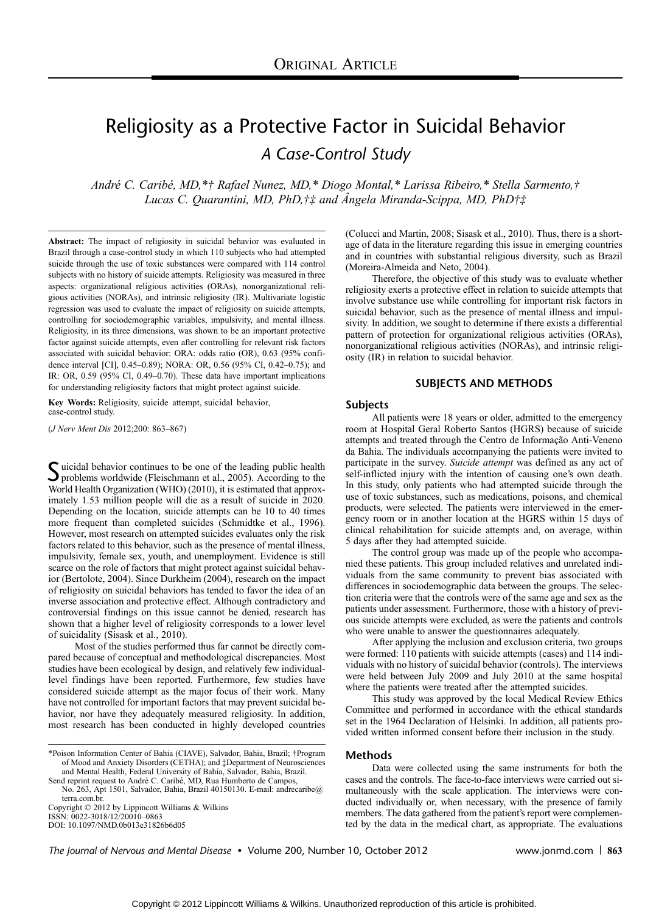# Religiosity as a Protective Factor in Suicidal Behavior A Case-Control Study

André C. Caribé, MD,\*† Rafael Nunez, MD,\* Diogo Montal,\* Larissa Ribeiro,\* Stella Sarmento,† Lucas C. Quarantini, MD, PhD, $\dagger\ddagger$  and Angela Miranda-Scippa, MD, PhD $\dagger\ddagger$ 

Abstract: The impact of religiosity in suicidal behavior was evaluated in Brazil through a case-control study in which 110 subjects who had attempted suicide through the use of toxic substances were compared with 114 control subjects with no history of suicide attempts. Religiosity was measured in three aspects: organizational religious activities (ORAs), nonorganizational religious activities (NORAs), and intrinsic religiosity (IR). Multivariate logistic regression was used to evaluate the impact of religiosity on suicide attempts, controlling for sociodemographic variables, impulsivity, and mental illness. Religiosity, in its three dimensions, was shown to be an important protective factor against suicide attempts, even after controlling for relevant risk factors associated with suicidal behavior: ORA: odds ratio (OR), 0.63 (95% confidence interval [CI], 0.45-0.89); NORA: OR, 0.56 (95% CI, 0.42-0.75); and IR: OR, 0.59 (95% CI, 0.49-0.70). These data have important implications for understanding religiosity factors that might protect against suicide.

Key Words: Religiosity, suicide attempt, suicidal behavior, case-control study.

(J Nerv Ment Dis 2012;200: 863-867)

Suicidal behavior continues to be one of the leading public health<br>problems worldwide (Fleischmann et al., 2005). According to the<br>WIND (2010) is interested to the World Health Organization (WHO) (2010), it is estimated that approximately 1.53 million people will die as a result of suicide in 2020. Depending on the location, suicide attempts can be 10 to 40 times more frequent than completed suicides (Schmidtke et al., 1996). However, most research on attempted suicides evaluates only the risk factors related to this behavior, such as the presence of mental illness, impulsivity, female sex, youth, and unemployment. Evidence is still scarce on the role of factors that might protect against suicidal behavior (Bertolote, 2004). Since Durkheim (2004), research on the impact of religiosity on suicidal behaviors has tended to favor the idea of an inverse association and protective effect. Although contradictory and controversial findings on this issue cannot be denied, research has shown that a higher level of religiosity corresponds to a lower level of suicidality (Sisask et al., 2010).

Most of the studies performed thus far cannot be directly compared because of conceptual and methodological discrepancies. Most studies have been ecological by design, and relatively few individuallevel findings have been reported. Furthermore, few studies have considered suicide attempt as the major focus of their work. Many have not controlled for important factors that may prevent suicidal behavior, nor have they adequately measured religiosity. In addition, most research has been conducted in highly developed countries

Copyright © 2012 by Lippincott Williams & Wilkins<br>ISSN: 0022-3018/12/20010–0863

DOI: 10.1097/NMD.0b013e31826b6d05

(Colucci and Martin, 2008; Sisask et al., 2010). Thus, there is a shortage of data in the literature regarding this issue in emerging countries and in countries with substantial religious diversity, such as Brazil (Moreira-Almeida and Neto, 2004).

Therefore, the objective of this study was to evaluate whether religiosity exerts a protective effect in relation to suicide attempts that involve substance use while controlling for important risk factors in suicidal behavior, such as the presence of mental illness and impulsivity. In addition, we sought to determine if there exists a differential pattern of protection for organizational religious activities (ORAs), nonorganizational religious activities (NORAs), and intrinsic religiosity (IR) in relation to suicidal behavior.

# SUBJECTS AND METHODS

#### Subjects

All patients were 18 years or older, admitted to the emergency room at Hospital Geral Roberto Santos (HGRS) because of suicide attempts and treated through the Centro de Informação Anti-Veneno da Bahia. The individuals accompanying the patients were invited to participate in the survey. Suicide attempt was defined as any act of self-inflicted injury with the intention of causing one's own death. In this study, only patients who had attempted suicide through the use of toxic substances, such as medications, poisons, and chemical products, were selected. The patients were interviewed in the emergency room or in another location at the HGRS within 15 days of clinical rehabilitation for suicide attempts and, on average, within 5 days after they had attempted suicide.

The control group was made up of the people who accompanied these patients. This group included relatives and unrelated individuals from the same community to prevent bias associated with differences in sociodemographic data between the groups. The selection criteria were that the controls were of the same age and sex as the patients under assessment. Furthermore, those with a history of previous suicide attempts were excluded, as were the patients and controls who were unable to answer the questionnaires adequately.

After applying the inclusion and exclusion criteria, two groups were formed: 110 patients with suicide attempts (cases) and 114 individuals with no history of suicidal behavior (controls). The interviews were held between July 2009 and July 2010 at the same hospital where the patients were treated after the attempted suicides.

This study was approved by the local Medical Review Ethics Committee and performed in accordance with the ethical standards set in the 1964 Declaration of Helsinki. In addition, all patients provided written informed consent before their inclusion in the study.

# Methods

Data were collected using the same instruments for both the cases and the controls. The face-to-face interviews were carried out simultaneously with the scale application. The interviews were conducted individually or, when necessary, with the presence of family members. The data gathered from the patient's report were complemented by the data in the medical chart, as appropriate. The evaluations

The Journal of Nervous and Mental Disease • Volume 200, Number 10, October 2012 www.jonmd.com | 863

<sup>\*</sup>Poison Information Center of Bahia (CIAVE), Salvador, Bahia, Brazil; †Program of Mood and Anxiety Disorders (CETHA); and ‡Department of Neurosciences and Mental Health, Federal University of Bahia, Salvador, Bahia, Brazil.

Send reprint request to André C. Caribé, MD, Rua Humberto de Campos,

No. 263, Apt 1501, Salvador, Bahia, Brazil 40150130. E-mail: andrecaribe@ terra.com.br.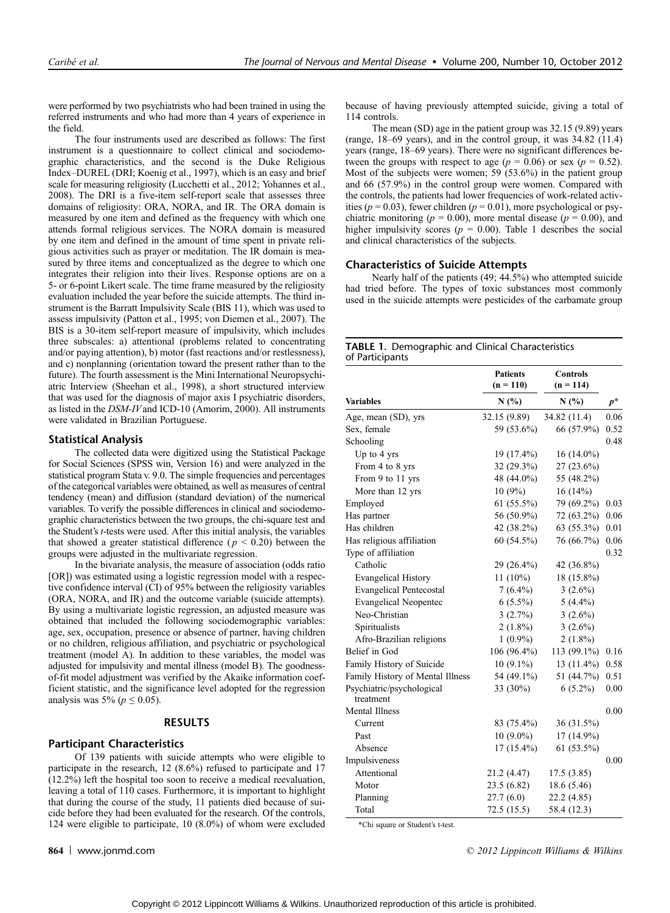were performed by two psychiatrists who had been trained in using the referred instruments and who had more than 4 years of experience in the field.

The four instruments used are described as follows: The first instrument is a questionnaire to collect clinical and sociodemographic characteristics, and the second is the Duke Religious Index-DUREL (DRI; Koenig et al., 1997), which is an easy and brief scale for measuring religiosity (Lucchetti et al., 2012; Yohannes et al., 2008). The DRI is a five-item self-report scale that assesses three domains of religiosity: ORA, NORA, and IR. The ORA domain is measured by one item and defined as the frequency with which one attends formal religious services. The NORA domain is measured by one item and defined in the amount of time spent in private religious activities such as prayer or meditation. The IR domain is measured by three items and conceptualized as the degree to which one integrates their religion into their lives. Response options are on a 5- or 6-point Likert scale. The time frame measured by the religiosity evaluation included the year before the suicide attempts. The third instrument is the Barratt Impulsivity Scale (BIS 11), which was used to assess impulsivity (Patton et al., 1995; von Diemen et al., 2007). The BIS is a 30-item self-report measure of impulsivity, which includes three subscales: a) attentional (problems related to concentrating and/or paying attention), b) motor (fast reactions and/or restlessness), and c) nonplanning (orientation toward the present rather than to the future). The fourth assessment is the Mini International Neuropsychiatric Interview (Sheehan et al., 1998), a short structured interview that was used for the diagnosis of major axis I psychiatric disorders, as listed in the DSM-IVand ICD-10 (Amorim, 2000). All instruments were validated in Brazilian Portuguese.

### Statistical Analysis

The collected data were digitized using the Statistical Package for Social Sciences (SPSS win, Version 16) and were analyzed in the statistical program Stata v. 9.0. The simple frequencies and percentages of the categorical variables were obtained, as well as measures of central tendency (mean) and diffusion (standard deviation) of the numerical variables. To verify the possible differences in clinical and sociodemographic characteristics between the two groups, the chi-square test and the Student's t-tests were used. After this initial analysis, the variables that showed a greater statistical difference ( $p < 0.20$ ) between the groups were adjusted in the multivariate regression.

In the bivariate analysis, the measure of association (odds ratio [OR]) was estimated using a logistic regression model with a respective confidence interval (CI) of 95% between the religiosity variables (ORA, NORA, and IR) and the outcome variable (suicide attempts). By using a multivariate logistic regression, an adjusted measure was obtained that included the following sociodemographic variables: age, sex, occupation, presence or absence of partner, having children or no children, religious affiliation, and psychiatric or psychological treatment (model A). In addition to these variables, the model was adjusted for impulsivity and mental illness (model B). The goodnessof-fit model adjustment was verified by the Akaike information coefficient statistic, and the significance level adopted for the regression analysis was 5% ( $p \le 0.05$ ).

## RESULTS

### Participant Characteristics

Of 139 patients with suicide attempts who were eligible to participate in the research, 12 (8.6%) refused to participate and 17 (12.2%) left the hospital too soon to receive a medical reevaluation, leaving a total of 110 cases. Furthermore, it is important to highlight that during the course of the study, 11 patients died because of suicide before they had been evaluated for the research. Of the controls, 124 were eligible to participate, 10 (8.0%) of whom were excluded

because of having previously attempted suicide, giving a total of 114 controls.

The mean (SD) age in the patient group was 32.15 (9.89) years (range,  $18-69$  years), and in the control group, it was  $34.82$  (11.4) years (range, 18–69 years). There were no significant differences between the groups with respect to age ( $p = 0.06$ ) or sex ( $p = 0.52$ ). Most of the subjects were women; 59 (53.6%) in the patient group and 66 (57.9%) in the control group were women. Compared with the controls, the patients had lower frequencies of work-related activities ( $p = 0.03$ ), fewer children ( $p = 0.01$ ), more psychological or psychiatric monitoring ( $p = 0.00$ ), more mental disease ( $p = 0.00$ ), and higher impulsivity scores ( $p = 0.00$ ). Table 1 describes the social and clinical characteristics of the subjects.

## Characteristics of Suicide Attempts

Nearly half of the patients (49; 44.5%) who attempted suicide had tried before. The types of toxic substances most commonly used in the suicide attempts were pesticides of the carbamate group

# TABLE 1. Demographic and Clinical Characteristics of Participants

|                                        | <b>Patients</b><br>$(n = 110)$ | <b>Controls</b><br>$(n = 114)$ |          |  |
|----------------------------------------|--------------------------------|--------------------------------|----------|--|
| <b>Variables</b>                       | N(%)                           | N(%)                           | $p^\ast$ |  |
| Age, mean (SD), yrs                    | 32.15 (9.89)                   | 34.82 (11.4)                   | 0.06     |  |
| Sex, female                            | 59 (53.6%)                     | 66 (57.9%)                     | 0.52     |  |
| Schooling                              |                                |                                | 0.48     |  |
| Up to 4 yrs                            | 19 (17.4%)                     | 16 (14.0%)                     |          |  |
| From 4 to 8 yrs                        | $32(29.3\%)$                   | $27(23.6\%)$                   |          |  |
| From 9 to 11 yrs                       | 48 (44.0%)                     | 55 (48.2%)                     |          |  |
| More than 12 yrs                       | 10(9%)                         | 16(14%)                        |          |  |
| Employed                               | $61(55.5\%)$                   | 79 (69.2%)                     | 0.03     |  |
| Has partner                            | 56 (50.9%)                     | 72 (63.2%)                     | 0.06     |  |
| Has children                           | 42 (38.2%)                     | 63 (55.3%)                     | 0.01     |  |
| Has religious affiliation              | 60 (54.5%)                     | 76 (66.7%)                     | 0.06     |  |
| Type of affiliation                    |                                |                                | 0.32     |  |
| Catholic                               | 29 (26.4%)                     | 42 (36.8%)                     |          |  |
| <b>Evangelical History</b>             | $11(10\%)$                     | 18 (15.8%)                     |          |  |
| <b>Evangelical Pentecostal</b>         | $7(6.4\%)$                     | $3(2.6\%)$                     |          |  |
| <b>Evangelical Neopentec</b>           | $6(5.5\%)$                     | $5(4.4\%)$                     |          |  |
| Neo-Christian                          | 3(2.7%)                        | $3(2.6\%)$                     |          |  |
| Spiritualists                          | $2(1.8\%)$                     | $3(2.6\%)$                     |          |  |
| Afro-Brazilian religions               | $1(0.9\%)$                     | $2(1.8\%)$                     |          |  |
| Belief in God                          | $106(96.4\%)$                  | 113 (99.1%)                    | 0.16     |  |
| Family History of Suicide              | $10(9.1\%)$                    | 13 (11.4%)                     | 0.58     |  |
| Family History of Mental Illness       | 54 (49.1%)                     | 51 (44.7%)                     | 0.51     |  |
| Psychiatric/psychological<br>treatment | 33 $(30\%)$                    | $6(5.2\%)$                     | 0.00     |  |
| <b>Mental Illness</b>                  |                                |                                | 0.00     |  |
| Current                                | 83 (75.4%)                     | 36 (31.5%)                     |          |  |
| Past                                   | $10(9.0\%)$                    | 17 (14.9%)                     |          |  |
| Absence                                | $17(15.4\%)$                   | $61(53.5\%)$                   |          |  |
| Impulsiveness                          |                                |                                | 0.00     |  |
| Attentional                            | 21.2 (4.47)                    | 17.5(3.85)                     |          |  |
| Motor                                  | 23.5 (6.82)                    | 18.6(5.46)                     |          |  |
| Planning                               | 27.7(6.0)                      | 22.2(4.85)                     |          |  |
| Total                                  | 72.5(15.5)                     | 58.4 (12.3)                    |          |  |

\*Chi square or Student's t-test.

**864** www.jonmd.com **and Southern Community** C 2012 Lippincott Williams & Wilkins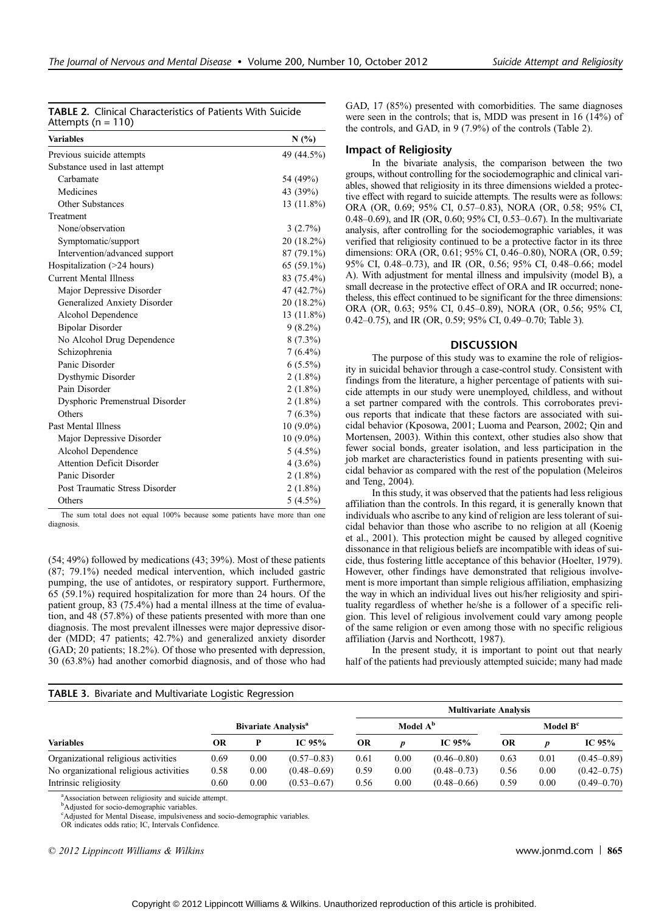| <b>TABLE 2.</b> Clinical Characteristics of Patients With Suicide |
|-------------------------------------------------------------------|
| Attempts ( $n = 110$ )                                            |

| <b>Variables</b>                  | N(%)         |
|-----------------------------------|--------------|
| Previous suicide attempts         | 49 (44.5%)   |
| Substance used in last attempt    |              |
| Carbamate                         | 54 (49%)     |
| Medicines                         | 43 (39%)     |
| Other Substances                  | $13(11.8\%)$ |
| Treatment                         |              |
| None/observation                  | 3(2.7%)      |
| Symptomatic/support               | 20 (18.2%)   |
| Intervention/advanced support     | 87 (79.1%)   |
| Hospitalization (>24 hours)       | $65(59.1\%)$ |
| <b>Current Mental Illness</b>     | 83 (75.4%)   |
| Major Depressive Disorder         | 47 (42.7%)   |
| Generalized Anxiety Disorder      | 20 (18.2%)   |
| Alcohol Dependence                | $13(11.8\%)$ |
| <b>Bipolar Disorder</b>           | $9(8.2\%)$   |
| No Alcohol Drug Dependence        | $8(7.3\%)$   |
| Schizophrenia                     | $7(6.4\%)$   |
| Panic Disorder                    | $6(5.5\%)$   |
| Dysthymic Disorder                | $2(1.8\%)$   |
| Pain Disorder                     | $2(1.8\%)$   |
| Dysphoric Premenstrual Disorder   | $2(1.8\%)$   |
| Others                            | $7(6.3\%)$   |
| <b>Past Mental Illness</b>        | $10(9.0\%)$  |
| Major Depressive Disorder         | $10(9.0\%)$  |
| Alcohol Dependence                | $5(4.5\%)$   |
| <b>Attention Deficit Disorder</b> | $4(3.6\%)$   |
| Panic Disorder                    | $2(1.8\%)$   |
| Post Traumatic Stress Disorder    | $2(1.8\%)$   |
| Others                            | $5(4.5\%)$   |

The sum total does not equal 100% because some patients have more than one diagnosis.

(54; 49%) followed by medications (43; 39%). Most of these patients (87; 79.1%) needed medical intervention, which included gastric pumping, the use of antidotes, or respiratory support. Furthermore, 65 (59.1%) required hospitalization for more than 24 hours. Of the patient group, 83 (75.4%) had a mental illness at the time of evaluation, and 48 (57.8%) of these patients presented with more than one diagnosis. The most prevalent illnesses were major depressive disorder (MDD; 47 patients; 42.7%) and generalized anxiety disorder (GAD; 20 patients; 18.2%). Of those who presented with depression, 30 (63.8%) had another comorbid diagnosis, and of those who had

GAD, 17 (85%) presented with comorbidities. The same diagnoses were seen in the controls; that is, MDD was present in 16 (14%) of the controls, and GAD, in 9 (7.9%) of the controls (Table 2).

# Impact of Religiosity

In the bivariate analysis, the comparison between the two groups, without controlling for the sociodemographic and clinical variables, showed that religiosity in its three dimensions wielded a protective effect with regard to suicide attempts. The results were as follows: ORA (OR, 0.69; 95% CI, 0.57-0.83), NORA (OR, 0.58; 95% CI, 0.48-0.69), and IR (OR, 0.60; 95% CI, 0.53-0.67). In the multivariate analysis, after controlling for the sociodemographic variables, it was verified that religiosity continued to be a protective factor in its three dimensions: ORA (OR, 0.61; 95% CI, 0.46-0.80), NORA (OR, 0.59; 95% CI, 0.48-0.73), and IR (OR, 0.56; 95% CI, 0.48-0.66; model A). With adjustment for mental illness and impulsivity (model B), a small decrease in the protective effect of ORA and IR occurred; nonetheless, this effect continued to be significant for the three dimensions: ORA (OR, 0.63; 95% CI, 0.45-0.89), NORA (OR, 0.56; 95% CI, 0.42-0.75), and IR (OR, 0.59; 95% CI, 0.49-0.70; Table 3).

#### **DISCUSSION**

The purpose of this study was to examine the role of religiosity in suicidal behavior through a case-control study. Consistent with findings from the literature, a higher percentage of patients with suicide attempts in our study were unemployed, childless, and without a set partner compared with the controls. This corroborates previous reports that indicate that these factors are associated with suicidal behavior (Kposowa, 2001; Luoma and Pearson, 2002; Qin and Mortensen, 2003). Within this context, other studies also show that fewer social bonds, greater isolation, and less participation in the job market are characteristics found in patients presenting with suicidal behavior as compared with the rest of the population (Meleiros and Teng, 2004).

In this study, it was observed that the patients had less religious affiliation than the controls. In this regard, it is generally known that individuals who ascribe to any kind of religion are less tolerant of suicidal behavior than those who ascribe to no religion at all (Koenig et al., 2001). This protection might be caused by alleged cognitive dissonance in that religious beliefs are incompatible with ideas of suicide, thus fostering little acceptance of this behavior (Hoelter, 1979). However, other findings have demonstrated that religious involvement is more important than simple religious affiliation, emphasizing the way in which an individual lives out his/her religiosity and spirituality regardless of whether he/she is a follower of a specific religion. This level of religious involvement could vary among people of the same religion or even among those with no specific religious affiliation (Jarvis and Northcott, 1987).

In the present study, it is important to point out that nearly half of the patients had previously attempted suicide; many had made

## TABLE 3. Bivariate and Multivariate Logistic Regression

|                                        |                                 |      |                      | <b>Multivariate Analysis</b> |                      |                 |           |      |                 |
|----------------------------------------|---------------------------------|------|----------------------|------------------------------|----------------------|-----------------|-----------|------|-----------------|
|                                        | Bivariate Analysis <sup>a</sup> |      | Model A <sup>b</sup> |                              | Model B <sup>c</sup> |                 |           |      |                 |
| <b>Variables</b>                       | OR                              |      | IC 95%               | <b>OR</b>                    | D                    | IC $95%$        | <b>OR</b> |      | IC 95%          |
| Organizational religious activities    | 0.69                            | 0.00 | $(0.57 - 0.83)$      | 0.61                         | 0.00                 | $(0.46 - 0.80)$ | 0.63      | 0.01 | $(0.45 - 0.89)$ |
| No organizational religious activities | 0.58                            | 0.00 | $(0.48 - 0.69)$      | 0.59                         | 0.00                 | $(0.48 - 0.73)$ | 0.56      | 0.00 | $(0.42 - 0.75)$ |
| Intrinsic religiosity                  | 0.60                            | 0.00 | $(0.53 - 0.67)$      | 0.56                         | 0.00                 | $(0.48 - 0.66)$ | 0.59      | 0.00 | $(0.49 - 0.70)$ |

a Association between religiosity and suicide attempt.

<sup>b</sup>Adjusted for socio-demographic variables.

<sup>c</sup>Adjusted for Mental Disease, impulsiveness and socio-demographic variables.

OR indicates odds ratio; IC, Intervals Confidence.

 $\degree$  2012 Lippincott Williams & Wilkins www.jonmd.com  $\degree$  865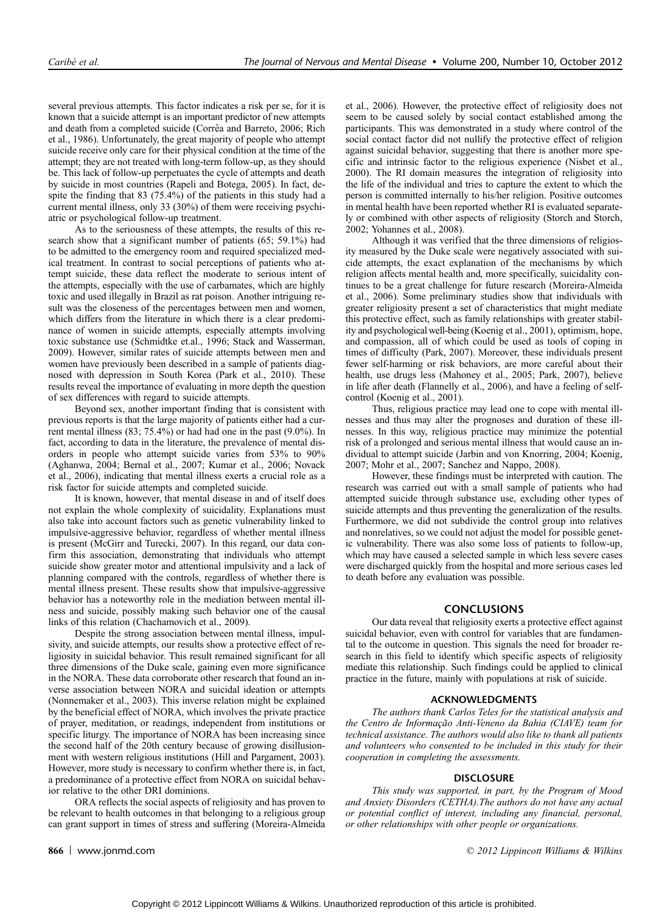several previous attempts. This factor indicates a risk per se, for it is known that a suicide attempt is an important predictor of new attempts and death from a completed suicide (Corrêa and Barreto, 2006; Rich et al., 1986). Unfortunately, the great majority of people who attempt suicide receive only care for their physical condition at the time of the attempt; they are not treated with long-term follow-up, as they should be. This lack of follow-up perpetuates the cycle of attempts and death by suicide in most countries (Rapeli and Botega, 2005). In fact, despite the finding that 83 (75.4%) of the patients in this study had a current mental illness, only 33 (30%) of them were receiving psychiatric or psychological follow-up treatment.

As to the seriousness of these attempts, the results of this research show that a significant number of patients (65; 59.1%) had to be admitted to the emergency room and required specialized medical treatment. In contrast to social perceptions of patients who attempt suicide, these data reflect the moderate to serious intent of the attempts, especially with the use of carbamates, which are highly toxic and used illegally in Brazil as rat poison. Another intriguing result was the closeness of the percentages between men and women, which differs from the literature in which there is a clear predominance of women in suicide attempts, especially attempts involving toxic substance use (Schmidtke et.al., 1996; Stack and Wasserman, 2009). However, similar rates of suicide attempts between men and women have previously been described in a sample of patients diagnosed with depression in South Korea (Park et al., 2010). These results reveal the importance of evaluating in more depth the question of sex differences with regard to suicide attempts.

Beyond sex, another important finding that is consistent with previous reports is that the large majority of patients either had a current mental illness (83; 75.4%) or had had one in the past (9.0%). In fact, according to data in the literature, the prevalence of mental disorders in people who attempt suicide varies from 53% to 90% (Aghanwa, 2004; Bernal et al., 2007; Kumar et al., 2006; Novack et al., 2006), indicating that mental illness exerts a crucial role as a risk factor for suicide attempts and completed suicide.

It is known, however, that mental disease in and of itself does not explain the whole complexity of suicidality. Explanations must also take into account factors such as genetic vulnerability linked to impulsive-aggressive behavior, regardless of whether mental illness is present (McGirr and Turecki, 2007). In this regard, our data confirm this association, demonstrating that individuals who attempt suicide show greater motor and attentional impulsivity and a lack of planning compared with the controls, regardless of whether there is mental illness present. These results show that impulsive-aggressive behavior has a noteworthy role in the mediation between mental illness and suicide, possibly making such behavior one of the causal links of this relation (Chachamovich et al., 2009).

Despite the strong association between mental illness, impulsivity, and suicide attempts, our results show a protective effect of religiosity in suicidal behavior. This result remained significant for all three dimensions of the Duke scale, gaining even more significance in the NORA. These data corroborate other research that found an inverse association between NORA and suicidal ideation or attempts (Nonnemaker et al., 2003). This inverse relation might be explained by the beneficial effect of NORA, which involves the private practice of prayer, meditation, or readings, independent from institutions or specific liturgy. The importance of NORA has been increasing since the second half of the 20th century because of growing disillusionment with western religious institutions (Hill and Pargament, 2003). However, more study is necessary to confirm whether there is, in fact, a predominance of a protective effect from NORA on suicidal behavior relative to the other DRI dominions.

ORA reflects the social aspects of religiosity and has proven to be relevant to health outcomes in that belonging to a religious group can grant support in times of stress and suffering (Moreira-Almeida et al., 2006). However, the protective effect of religiosity does not seem to be caused solely by social contact established among the participants. This was demonstrated in a study where control of the social contact factor did not nullify the protective effect of religion against suicidal behavior, suggesting that there is another more specific and intrinsic factor to the religious experience (Nisbet et al., 2000). The RI domain measures the integration of religiosity into the life of the individual and tries to capture the extent to which the person is committed internally to his/her religion. Positive outcomes in mental health have been reported whether RI is evaluated separately or combined with other aspects of religiosity (Storch and Storch, 2002; Yohannes et al., 2008).

Although it was verified that the three dimensions of religiosity measured by the Duke scale were negatively associated with suicide attempts, the exact explanation of the mechanisms by which religion affects mental health and, more specifically, suicidality continues to be a great challenge for future research (Moreira-Almeida et al., 2006). Some preliminary studies show that individuals with greater religiosity present a set of characteristics that might mediate this protective effect, such as family relationships with greater stability and psychological well-being (Koenig et al., 2001), optimism, hope, and compassion, all of which could be used as tools of coping in times of difficulty (Park, 2007). Moreover, these individuals present fewer self-harming or risk behaviors, are more careful about their health, use drugs less (Mahoney et al., 2005; Park, 2007), believe in life after death (Flannelly et al., 2006), and have a feeling of selfcontrol (Koenig et al., 2001).

Thus, religious practice may lead one to cope with mental illnesses and thus may alter the prognoses and duration of these illnesses. In this way, religious practice may minimize the potential risk of a prolonged and serious mental illness that would cause an individual to attempt suicide (Jarbin and von Knorring, 2004; Koenig, 2007; Mohr et al., 2007; Sanchez and Nappo, 2008).

However, these findings must be interpreted with caution. The research was carried out with a small sample of patients who had attempted suicide through substance use, excluding other types of suicide attempts and thus preventing the generalization of the results. Furthermore, we did not subdivide the control group into relatives and nonrelatives, so we could not adjust the model for possible genetic vulnerability. There was also some loss of patients to follow-up, which may have caused a selected sample in which less severe cases were discharged quickly from the hospital and more serious cases led to death before any evaluation was possible.

# **CONCLUSIONS**

Our data reveal that religiosity exerts a protective effect against suicidal behavior, even with control for variables that are fundamental to the outcome in question. This signals the need for broader research in this field to identify which specific aspects of religiosity mediate this relationship. Such findings could be applied to clinical practice in the future, mainly with populations at risk of suicide.

### ACKNOWLEDGMENTS

The authors thank Carlos Teles for the statistical analysis and the Centro de Informação Anti-Veneno da Bahia (CIAVE) team for technical assistance. The authors would also like to thank all patients and volunteers who consented to be included in this study for their cooperation in completing the assessments.

# **DISCLOSURE**

This study was supported, in part, by the Program of Mood and Anxiety Disorders (CETHA).The authors do not have any actual or potential conflict of interest, including any financial, personal, or other relationships with other people or organizations.

**866** www.jonmd.com **and Southern Community** C 2012 Lippincott Williams & Wilkins